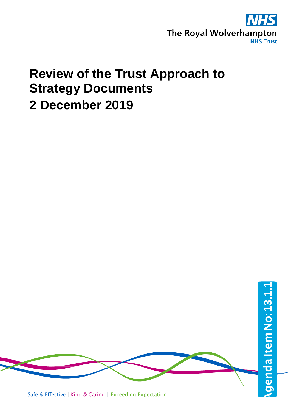

# **Review of the Trust Approach to Strategy Documents 2 December 2019**

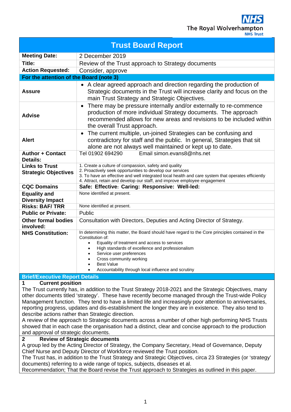The Royal Wolverham

**NHS Trust** 

| <b>Trust Board Report</b>                            |                                                                                                                                                                                                                                                                                                                                                                          |  |  |
|------------------------------------------------------|--------------------------------------------------------------------------------------------------------------------------------------------------------------------------------------------------------------------------------------------------------------------------------------------------------------------------------------------------------------------------|--|--|
| <b>Meeting Date:</b>                                 | 2 December 2019                                                                                                                                                                                                                                                                                                                                                          |  |  |
| Title:                                               | Review of the Trust approach to Strategy documents                                                                                                                                                                                                                                                                                                                       |  |  |
| <b>Action Requested:</b>                             | Consider, approve                                                                                                                                                                                                                                                                                                                                                        |  |  |
| For the attention of the Board (note 3)              |                                                                                                                                                                                                                                                                                                                                                                          |  |  |
| Assure                                               | • A clear agreed approach and direction regarding the production of<br>Strategic documents in the Trust will increase clarity and focus on the<br>main Trust Strategy and Strategic Objectives.                                                                                                                                                                          |  |  |
| <b>Advise</b>                                        | There may be pressure internally and/or externally to re-commence<br>production of more individual Strategy documents. The approach<br>recommended allows for new areas and revisions to be included within<br>the overall Trust approach.                                                                                                                               |  |  |
| <b>Alert</b>                                         | The current multiple, un-joined Strategies can be confusing and<br>$\bullet$<br>contradictory for staff and the public. In general, Strategies that sit<br>alone are not always well maintained or kept up to date.                                                                                                                                                      |  |  |
| <b>Author + Contact</b><br><b>Details:</b>           | Email simon.evans8@nhs.net<br>Tel 01902 694290                                                                                                                                                                                                                                                                                                                           |  |  |
| <b>Links to Trust</b><br><b>Strategic Objectives</b> | 1. Create a culture of compassion, safety and quality<br>2. Proactively seek opportunities to develop our services<br>3. To have an effective and well integrated local health and care system that operates efficiently<br>4. Attract, retain and develop our staff, and improve employee engagement                                                                    |  |  |
| <b>CQC Domains</b>                                   | Safe: Effective: Caring: Responsive: Well-led:                                                                                                                                                                                                                                                                                                                           |  |  |
| <b>Equality and</b><br><b>Diversity Impact</b>       | None identified at present.                                                                                                                                                                                                                                                                                                                                              |  |  |
| <b>Risks: BAF/TRR</b>                                | None identified at present.                                                                                                                                                                                                                                                                                                                                              |  |  |
| <b>Public or Private:</b>                            | Public                                                                                                                                                                                                                                                                                                                                                                   |  |  |
| <b>Other formal bodies</b><br>involved:              | Consultation with Directors, Deputies and Acting Director of Strategy.                                                                                                                                                                                                                                                                                                   |  |  |
| <b>NHS Constitution:</b>                             | In determining this matter, the Board should have regard to the Core principles contained in the<br>Constitution of:<br>Equality of treatment and access to services<br>$\bullet$<br>High standards of excellence and professionalism<br>Service user preferences<br>Cross community working<br><b>Best Value</b><br>Accountability through local influence and scrutiny |  |  |
| <b>Brief/Executive Report Details</b>                |                                                                                                                                                                                                                                                                                                                                                                          |  |  |

## **1 Current position**

The Trust currently has, in addition to the Trust Strategy 2018-2021 and the Strategic Objectives, many other documents titled 'strategy'. These have recently become managed through the Trust-wide Policy Management function. They tend to have a limited life and increasingly poor attention to anniversaries, reporting progress, updates and dis-establishment the longer they are in existence. They also tend to describe actions rather than Strategic direction.

A review of the approach to Strategic documents across a number of other high performing NHS Trusts showed that in each case the organisation had a distinct, clear and concise approach to the production and approval of strategic documents.

#### **2 Review of Strategic documents**

A group led by the Acting Director of Strategy, the Company Secretary, Head of Governance, Deputy Chief Nurse and Deputy Director of Workforce reviewed the Trust position.

The Trust has, in addition to the Trust Strategy and Strategic Objectives, circa 23 Strategies (or 'strategy' documents) referring to a wide range of topics, subjects, diseases et al.

Recommendation; That the Board revise the Trust approach to Strategies as outlined in this paper.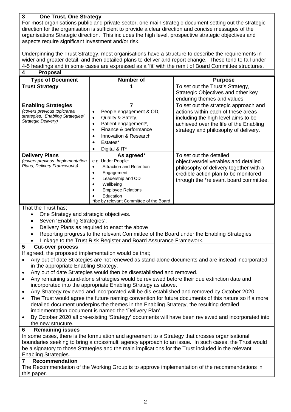## **3 One Trust, One Strategy**

For most organisations public and private sector, one main strategic document setting out the strategic direction for the organisation is sufficient to provide a clear direction and concise messages of the organisations Strategic direction. This includes the high level, prospective strategic objectives and aspects require significant investment and/or risk.

Underpinning the Trust Strategy, most organisations have a structure to describe the requirements in wider and greater detail, and then detailed plans to deliver and report change. These tend to fall under 4-5 headings and in some cases are expressed as a 'fit' with the remit of Board Committee structures.

| <b>Proposal</b>                                                                                                      |                                                                                                                                                                                                          |                                                                                                                                                                                                      |
|----------------------------------------------------------------------------------------------------------------------|----------------------------------------------------------------------------------------------------------------------------------------------------------------------------------------------------------|------------------------------------------------------------------------------------------------------------------------------------------------------------------------------------------------------|
| <b>Type of Document</b>                                                                                              | <b>Number of</b>                                                                                                                                                                                         | <b>Purpose</b>                                                                                                                                                                                       |
| <b>Trust Strategy</b>                                                                                                |                                                                                                                                                                                                          | To set out the Trust's Strategy,<br>Strategic Objectives and other key<br>enduring themes and values                                                                                                 |
| <b>Enabling Strategies</b><br>(covers previous topic/area<br>strategies, Enabling Strategies/<br>Strategic Delivery) | People engagement & OD,<br>Quality & Safety,<br>Patient engagement*,<br>Finance & performance<br>Innovation & Research<br>Estates*<br>Digital & IT*                                                      | To set out the strategic approach and<br>actions within each of these areas<br>including the high level aims to be<br>achieved over the life of the Enabling<br>strategy and philosophy of delivery. |
| <b>Delivery Plans</b><br>(covers previous Implementation<br>Plans, Delivery Frameworks)                              | As agreed*<br>e.g. Under People:<br><b>Attraction and Retention</b><br>Engagement<br>Leadership and OD<br>Wellbeing<br><b>Employee Relations</b><br>Education<br>*tbc by relevant Committee of the Board | To set out the detailed<br>objectives/deliverables and detailed<br>philosophy of delivery together with a<br>credible action plan to be monitored<br>through the *relevant board committee.          |

### That the Trust has;

- One Strategy and strategic objectives.
- Seven 'Enabling Strategies';
- Delivery Plans as required to enact the above
- Reporting progress to the relevant Committee of the Board under the Enabling Strategies
- Linkage to the Trust Risk Register and Board Assurance Framework.

### **5 Cut-over process**

If agreed, the proposed implementation would be that;

- Any out of date Strategies are not renewed as stand-alone documents and are instead incorporated in the appropriate Enabling Strategy.
- Any out of date Strategies would then be disestablished and removed.
- Any remaining stand-alone strategies would be reviewed before their due extinction date and incorporated into the appropriate Enabling Strategy as above.
- Any Strategy reviewed and incorporated will be dis-established and removed by October 2020.
- The Trust would agree the future naming convention for future documents of this nature so if a more detailed document underpins the themes in the Enabling Strategy, the resulting detailed implementation document is named the 'Delivery Plan'.
- By October 2020 all pre-existing 'Strategy' documents will have been reviewed and incorporated into the new structure.

### **6 Remaining issues**

In some cases, there is the formulation and agreement to a Strategy that crosses organisational boundaries seeking to bring a cross/multi agency approach to an issue. In such cases, the Trust would be a signatory to those Strategies and the main implications for the Trust included in the relevant Enabling Strategies.

### **7 Recommendation**

The Recommendation of the Working Group is to approve implementation of the recommendations in this paper.